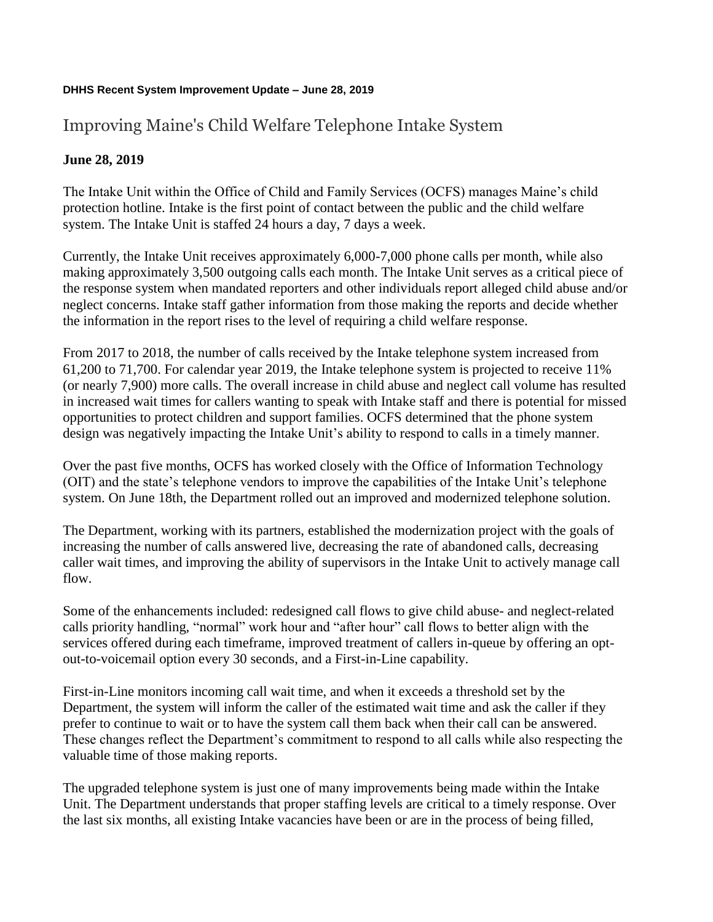## **DHHS Recent System Improvement Update – June 28, 2019**

## Improving Maine's Child Welfare Telephone Intake System

## **June 28, 2019**

The Intake Unit within the Office of Child and Family Services (OCFS) manages Maine's child protection hotline. Intake is the first point of contact between the public and the child welfare system. The Intake Unit is staffed 24 hours a day, 7 days a week.

Currently, the Intake Unit receives approximately 6,000-7,000 phone calls per month, while also making approximately 3,500 outgoing calls each month. The Intake Unit serves as a critical piece of the response system when mandated reporters and other individuals report alleged child abuse and/or neglect concerns. Intake staff gather information from those making the reports and decide whether the information in the report rises to the level of requiring a child welfare response.

From 2017 to 2018, the number of calls received by the Intake telephone system increased from 61,200 to 71,700. For calendar year 2019, the Intake telephone system is projected to receive 11% (or nearly 7,900) more calls. The overall increase in child abuse and neglect call volume has resulted in increased wait times for callers wanting to speak with Intake staff and there is potential for missed opportunities to protect children and support families. OCFS determined that the phone system design was negatively impacting the Intake Unit's ability to respond to calls in a timely manner.

Over the past five months, OCFS has worked closely with the Office of Information Technology (OIT) and the state's telephone vendors to improve the capabilities of the Intake Unit's telephone system. On June 18th, the Department rolled out an improved and modernized telephone solution.

The Department, working with its partners, established the modernization project with the goals of increasing the number of calls answered live, decreasing the rate of abandoned calls, decreasing caller wait times, and improving the ability of supervisors in the Intake Unit to actively manage call flow.

Some of the enhancements included: redesigned call flows to give child abuse- and neglect-related calls priority handling, "normal" work hour and "after hour" call flows to better align with the services offered during each timeframe, improved treatment of callers in-queue by offering an optout-to-voicemail option every 30 seconds, and a First-in-Line capability.

First-in-Line monitors incoming call wait time, and when it exceeds a threshold set by the Department, the system will inform the caller of the estimated wait time and ask the caller if they prefer to continue to wait or to have the system call them back when their call can be answered. These changes reflect the Department's commitment to respond to all calls while also respecting the valuable time of those making reports.

The upgraded telephone system is just one of many improvements being made within the Intake Unit. The Department understands that proper staffing levels are critical to a timely response. Over the last six months, all existing Intake vacancies have been or are in the process of being filled,